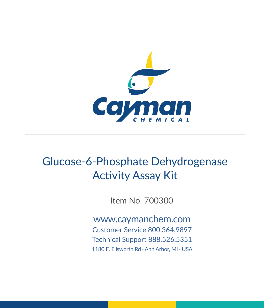

# Glucose-6-Phosphate Dehydrogenase Activity Assay Kit

Item No. 700300

www.caymanchem.com Customer Service 800.364.9897 Technical Support 888.526.5351 1180 E. Ellsworth Rd · Ann Arbor, MI · USA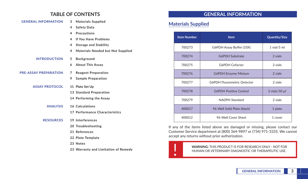### **TABLE OF CONTENTS**

| <b>GENERAL INFORMATION</b>   | 3<br><b>Materials Supplied</b>                |
|------------------------------|-----------------------------------------------|
|                              | <b>Safety Data</b><br>4                       |
|                              | <b>Precautions</b><br>4                       |
|                              | If You Have Problems<br>4                     |
|                              | 4<br><b>Storage and Stability</b>             |
|                              | <b>Materials Needed but Not Supplied</b><br>4 |
| <b>INTRODUCTION</b>          | 5<br><b>Background</b>                        |
|                              | <b>About This Assay</b><br>6                  |
| <b>PRE-ASSAY PREPARATION</b> | 7<br><b>Reagent Preparation</b>               |
|                              | 9<br><b>Sample Preparation</b>                |
| <b>ASSAY PROTOCOL</b>        | 11 Plate Set Up                               |
|                              | 13 Standard Preparation                       |
|                              | 14 Performing the Assay                       |
| <b>ANALYSIS</b>              | 16 Calculations                               |
|                              | 17 Performance Characteristics                |
| <b>RESOURCES</b>             | 19 Interferences                              |
|                              | 20 Troubleshooting                            |
|                              | 21 References                                 |
|                              | 22 Plate Template                             |
|                              | 23 Notes                                      |
|                              | 23 Warranty and Limitation of Remedy          |

# **GENERAL INFORMATION**

# **Materials Supplied**

| <b>Item Number</b> | <b>Item</b>                        | <b>Quantity/Size</b> |  |
|--------------------|------------------------------------|----------------------|--|
| 700273             | G6PDH Assay Buffer (10X)           | $1$ vial/ $5$ ml     |  |
| 700274             | <b>G6PDH Substrate</b>             | 2 vials              |  |
| 700275             | G6PDH Cofactor                     | 2 vials              |  |
| 700276             | <b>G6PDH Enzyme Mixture</b>        | 2 vials              |  |
| 700277             | <b>G6PDH Fluorometric Detector</b> | 2 vials              |  |
| 700278             | <b>G6PDH Positive Control</b>      | $2$ vials/50 $\mu$   |  |
| 700279             | <b>NADPH Standard</b>              | 2 vials              |  |
| 400017             | 96-Well Solid Plate (black)        | 1 plate              |  |
| 400012             | 96-Well Cover Sheet                | 1 cover              |  |

If any of the items listed above are damaged or missing, please contact our Customer Service department at (800) 364-9897 or (734) 971-3335. We cannot accept any returns without prior authorization.



**WARNING:** THIS PRODUCT IS FOR RESEARCH ONLY - NOT FOR<br>HUMAN OR VETERINARY DIAGNOSTIC OR THERAPEUTIC USE. HUMAN OR VETERINARY DIAGNOSTIC OR THERAPEUTIC USE.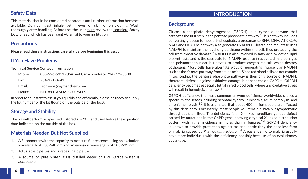### **Safety Data**

This material should be considered hazardous until further information becomes available. Do not ingest, inhale, get in eyes, on skin, or on clothing. Wash thoroughly after handling. Before use, the user must review the complete Safety Data Sheet, which has been sent *via* email to your institution.

### **Precautions**

**Please read these instructions carefully before beginning this assay.**

# **If You Have Problems**

**Technical Service Contact Information**

| Phone: | 888-526-5351 (USA and Canada only) or 734-975-3888 |
|--------|----------------------------------------------------|
| Fax:   | 734-971-3641                                       |
| Email: | techserv@cavmanchem.com                            |
| Hours: | M-F 8:00 AM to 5:30 PM EST                         |

In order for our staff to assist you quickly and efficiently, please be ready to supply the lot number of the kit (found on the outside of the box).

# **Storage and Stability**

This kit will perform as specified if stored at -20°C and used before the expiration date indicated on the outside of the box.

# **Materials Needed But Not Supplied**

- 1. A fluorometer with the capacity to measure fluorescence using an excitation wavelength of 530-540 nm and an emission wavelength of 585-595 nm
- 2. Adjustable pipettes and a repeating pipettor
- 3. A source of pure water; glass distilled water or HPLC-grade water is acceptable

# **INTRODUCTION**

# **Background**

Glucose-6-phosphate dehydrogenase (G6PDH) is a cytosolic enzyme that catalyzes the first step in the pentose phosphate pathway.<sup>1</sup> This pathway includes converting glucose to ribose-5-phosphate, a precursor to RNA, DNA, ATP, CoA, NAD, and FAD. The pathway also generates NADPH. Glutathione reductase uses NADPH to maintain the level of glutathione within the cell, thus protecting the cell from oxidative damage.2 NADPH is also involved in fatty acid oxidation, lipid biosynthesis, and is the substrate for NADPH oxidase in activated macrophages and polymorphonuclear leukocytes to produce oxygen radicals which destroy pathogens. Most cells have alternate ways of generating intracellular NADPH such as the *de novo* pathway from amino acids. Since red blood cells do not contain mitochondria, the pentose phosphate pathway is their only source of NADPH; therefore, defense against oxidative damage is dependent on G6PDH. G6PDH deficiency becomes especially lethal in red blood cells, where any oxidative stress will result in hemolytic anemia.<sup>3,4</sup>

G6PDH deficiency, the most common enzyme deficiency worldwide, causes a spectrum of diseases including neonatal hyperbilirubinemia, acute hemolysis, and chronic hemolysis.4-7 It is estimated that about 400 million people are affected by this deficiency. Fortunately, most people will remain clinically asymptomatic throughout their lives. The deficiency is an X-linked hereditary genetic defect caused by mutations in the G6PD gene, showing a typical X-linked distribution pattern with higher incidence in males than in females.<sup>3,4</sup> G6PDH deficiency is known to provide protection against malaria, particularly the deadliest form of malaria caused by *Plasmodium falciparum*. 4 Areas endemic to malaria usually have more individuals with the deficiency, possibly because of an evolutionary advantage.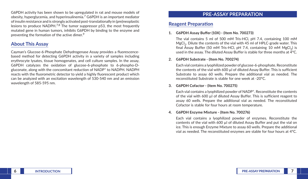G6PDH activity has been shown to be upregulated in rat and mouse models of obesity, hyperglycemia, and hyperinsulinemia.7 G6PDH is an important mediator of insulin resistance and is strongly activated post-translationally in (pre)neoplastic lesions to produce NADPH.<sup>7,8</sup> The tumor suppressor  $p53$ , the most frequently mutated gene in human tumors, inhibits G6PDH by binding to the enzyme and preventing the formation of the active dimer.<sup>9</sup>

### **About This Assay**

Cayman's Glucose-6-Phosphate Dehydrogenase Assay provides a fluorescencebased method for detecting G6PDH activity in a variety of samples including erythrocyte lysates, tissue homogenates, and cell culture samples. In the assay, G6PDH catalyzes the oxidation of glucose-6-phosphate to 6-phospho-Dgluconate, along with the concomitant reduction of NADP<sup>+</sup> to NADPH. NADPH reacts with the fluorometric detector to yield a highly fluorescent product which can be analyzed with an excitation wavelength of 530-540 nm and an emission wavelength of 585-595 nm.

### **PRE-ASSAY PREPARATION**

### **Reagent Preparation**

#### **1. G6PDH Assay Buffer (10X) - (Item No. 700273)**

The vial contains 5 ml of 500 mM Tris-HCl, pH 7.4, containing 100 mM MgCl<sub>2</sub>. Dilute the contents of the vial with 45 ml of HPLC-grade water. This final Assay Buffer (50 mM Tris-HCl, pH 7.4, containing 10 mM  $MgCl<sub>2</sub>$ ) is used in the assay. The diluted Assay Buffer is stable for three months at 4°C.

### **2. G6PDH Substrate - (Item No. 700274)**

Each vial contains a lyophilized powder of glucose-6-phosphate. Reconstitute the contents of the vial with 600 µl of diluted Assay Buffer. This is sufficient Substrate to assay 60 wells. Prepare the additional vial as needed. The reconstituted Substrate is stable for one week at -20°C.

### **3. G6PDH Cofactor - (Item No. 700275)**

Each vial contains a lyophilized powder of NADP+. Reconstitute the contents of the vial with 600 µl of diluted Assay Buffer. This is sufficient reagent to assay 60 wells. Prepare the additional vial as needed. The reconstituted Cofactor is stable for four hours at room temperature.

### **4. G6PDH Enzyme Mixture - (Item No. 700276)**

Each vial contains a lyophilized powder of enzymes. Reconstitute the contents of the vial with 600 µl of diluted Assay Buffer and put the vial on ice. This is enough Enzyme Mixture to assay 60 wells. Prepare the additional vial as needed. The reconstituted enzymes are stable for four hours at 4°C.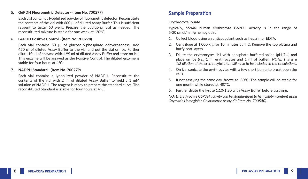#### **5. G6PDH Fluorometric Detector - (Item No. 700277)**

Each vial contains a lyophilized powder of fluorometric detector. Reconstitute the contents of the vial with 600 µl of diluted Assay Buffer. This is sufficient reagent to assay 60 wells. Prepare the additional vial as needed. The reconstituted mixture is stable for one week at -20°C.

#### **6. G6PDH Positive Control - (Item No. 700278)**

Each vial contains 50 µl of glucose-6-phosphate dehydrogenase. Add 450 µl of diluted Assay Buffer to the vial and put the vial on ice. Further dilute 10 µl of enzyme with 1.99 ml of diluted Assay Buffer and store on ice. This enzyme will be assayed as the Positive Control. The diluted enzyme is stable for four hours at 4°C.

#### **7. NADPH Standard - (Item No. 700279)**

Each vial contains a lyophilized powder of NADPH. Reconstitute the contents of the vial with 2 ml of diluted Assay Buffer to yield a 1 mM solution of NADPH. The reagent is ready to prepare the standard curve. The reconstituted Standard is stable for four hours at 4°C.

### **Sample Preparation**

#### **Erythrocyte Lysate**

Typically, normal human erythrocyte G6PDH activity is in the range of 5-20 μmol/min/g hemoglobin.

- 1. Collect blood using an anticoagulant such as heparin or EDTA.
- 2. Centrifuge at 1,000 x g for 10 minutes at  $4^{\circ}$ C. Remove the top plasma and buffy coat layers.
- 3. Dilute the erythrocytes 1:1 with phosphate buffered saline (pH 7.4) and place on ice (*i.e.*, 1 ml erythrocytes and 1 ml of buffer). *NOTE: This is a 1:2 dilution of the erythrocytes that will have to be included in the calculations.*
- 4. On ice, sonicate the erythrocytes with a few short bursts to break open the cells.
- 5. If not assaying the same day, freeze at -80°C. The sample will be stable for one month while stored at -80°C.
- 6. Further dilute the lysate 1:10-1:20 with Assay Buffer before assaying.

*NOTE: Erythrocyte G6PDH activity can be standardized to hemoglobin content using Cayman's Hemoglobin Colorimetric Assay Kit (Item No. 700540).*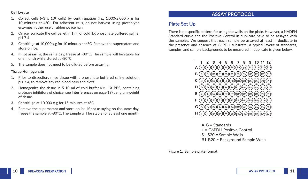#### **Cell Lysate**

- 1. Collect cells  $(-3 \times 10^6$  cells) by centrifugation (*i.e.*, 1,000-2,000 x g for 10 minutes at 4°C). For adherent cells, do not harvest using proteolytic enzymes; rather use a rubber policeman.
- 2. On ice, sonicate the cell pellet in 1 ml of cold 1X phosphate buffered saline, pH 7.4.
- 3. Centrifuge at 10,000 x g for 10 minutes at 4°C. Remove the supernatant and store on ice.
- 4. If not assaying the same day, freeze at -80°C. The sample will be stable for one month while stored at -80°C.
- 5. The sample does not need to be diluted before assaying.

#### **Tissue Homogenate**

- 1. Prior to dissection, rinse tissue with a phosphate buffered saline solution, pH 7.4, to remove any red blood cells and clots.
- 2. Homogenize the tissue in 5-10 ml of cold buffer (*i.e.*, 1X PBS, containing protease inhibitors of choice; see **Interferences** on page 19) per gram weight of tissue.
- 3. Centrifuge at 10,000 x g for 15 minutes at 4°C.
- 4. Remove the supernatant and store on ice. If not assaying on the same day, freeze the sample at -80°C. The sample will be stable for at least one month.

# **ASSAY PROTOCOL**

# **Plate Set Up**

There is no specific pattern for using the wells on the plate. However, a NADPH Standard curve and the Positive Control in duplicate have to be assayed with the samples. We suggest that each sample be assayed at least in duplicate in the presence and absence of G6PDH substrate. A typical layout of standards, samples, and sample backgrounds to be measured in duplicate is given below.



 $A-G =$ Standards + = G6PDH Posive Control S1-S20 = Sample Wells B1-B20 = Background Sample Wells

**Figure 1. Sample plate format**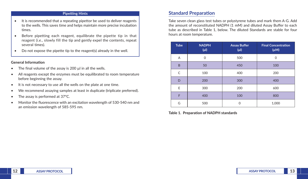#### **Pipetting Hints**

- It is recommended that a repeating pipettor be used to deliver reagents to the wells. This saves time and helps maintain more precise incubation times.
- Before pipetting each reagent, equilibrate the pipette tip in that reagent (*i.e.*, slowly fill the tip and gently expel the contents, repeat several times).
- Do not expose the pipette tip to the reagent(s) already in the well.

#### **General Information**

- The final volume of the assay is 200 µl in all the wells.
- All reagents except the enzymes must be equilibrated to room temperature before beginning the assay.
- It is not necessary to use all the wells on the plate at one time.
- We recommend assaying samples at least in duplicate (triplicate preferred).
- The assay is performed at 37°C.
- Monitor the fluorescence with an excitation wavelength of 530-540 nm and an emission wavelength of 585-595 nm.

### **Standard Preparation**

Take seven clean glass test tubes or polystyrene tubes and mark them A-G. Add the amount of reconstituted NADPH (1 mM) and diluted Assay Buffer to each tube as described in Table 1, below. The diluted Standards are stable for four hours at room temperature.

| <b>Tube</b> | <b>NADPH</b><br>$(\mu$ | <b>Assay Buffer</b><br>$(\mu I)$ | <b>Final Concentration</b><br>$(\mu M)$ |
|-------------|------------------------|----------------------------------|-----------------------------------------|
| Α           | $\Omega$               | 500                              | $\Omega$                                |
| B           | 50                     | 450                              | 100                                     |
| C           | 100                    | 400                              | 200                                     |
| D           | 200                    | 300                              | 400                                     |
| E           | 300                    | 200                              | 600                                     |
| F           | 400                    | 100                              | 800                                     |
| G           | 500                    | ∩                                | 1,000                                   |

**Table 1. Preparation of NADPH standards**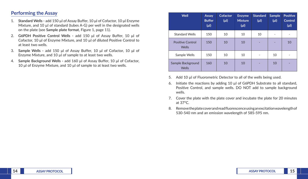### **Performing the Assay**

- 1. **Standard Wells -** add 150 µl of Assay Buffer, 10 μl of Cofactor, 10 μl Enzyme Mixture, and 10 µ of standard (tubes A-G) per well in the designated wells on the plate (see **Sample plate format**, Figure 1, page 11).
- 2. **G6PDH Positive Control Wells -** add 150 μl of Assay Buffer, 10 μl of Cofactor, 10 μl of Enzyme Mixture, and 10 µl of diluted Positive Control to at least two wells.
- 3. **Sample Wells -** add 150 μl of Assay Buffer, 10 μl of Cofactor, 10 μl of Enzyme Mixture, and 10 µl of sample to at least two wells.
- 4. **Sample Background Wells -** add 160 μl of Assay Buffer, 10 μl of Cofactor, 10 μl of Enzyme Mixture, and 10 µl of sample to at least two wells.

| Well                                    | Assay<br><b>Buffer</b><br>$(\mu$ | <b>Cofactor</b><br>$(\mu$ l) | <b>Enzyme</b><br><b>Mixture</b><br>$(\mu$ | <b>Standard</b><br>$(\mu$ | <b>Sample</b><br>$(\mu$ | <b>Positive</b><br><b>Control</b><br>$(\mu$ l |
|-----------------------------------------|----------------------------------|------------------------------|-------------------------------------------|---------------------------|-------------------------|-----------------------------------------------|
| <b>Standard Wells</b>                   | 150                              | 10                           | 10                                        | 10                        |                         |                                               |
| <b>Positive Control</b><br><b>Wells</b> | 150                              | 10                           | 10                                        |                           |                         | 10                                            |
| Sample Wells                            | 150                              | 10                           | 10                                        | $\overline{\phantom{a}}$  | 10                      |                                               |
| Sample Background<br><b>Wells</b>       | 160                              | 10                           | 10                                        |                           | 10                      |                                               |

- 5. Add 10 µl of Fluorometric Detector to all of the wells being used.
- 6. Initiate the reactions by adding 10 µl of G6PDH Substrate to all standard, Positive Control, and sample wells. DO NOT add to sample background wells.
- 7. Cover the plate with the plate cover and incubate the plate for 20 minutes at 37°C.
- 8. Remove the plate cover and read fluorescence using an excitation wavelength of 530-540 nm and an emission wavelength of 585-595 nm.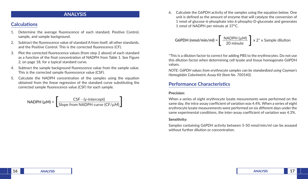### **ANALYSIS**

### **Calculations**

- 1. Determine the average fluorescence of each standard, Positive Control, sample, and sample background.
- 2. Subtract the fluorescence value of standard A from itself, all other standards, and the Positive Control. This is the corrected fluorescence (CF).
- 3. Plot the corrected fluorescence values (from step 2 above) of each standard as a function of the final concentration of NADPH from Table 1. See Figure 2, on page 18, for a typical standard curve.
- 4. Subtract the sample background fluorescence value from the sample value. This is the corrected sample fluorescence value (CSF).
- 5. Calculate the NADPH concentration of the samples using the equation obtained from the linear regression of the standard curve substituting the corrected sample fluorescence value (CSF) for each sample.

NADPH 
$$
(\mu M)
$$
 = 
$$
\left[ \frac{CSF - (y-intercept)}{Slope from NADPH curve (CF/ $\mu$ )} \right]
$$

6. Calculate the G6PDH activity of the samples using the equation below. One unit is defined as the amount of enzyme that will catalyze the conversion of 1 nmol of glucose-6-phosphate into 6-phospho-D-gluconate and generates 1 nmol of NADPH per minute at 37°C.

**G6PDH (nmol/min/ml)** = 
$$
\left[ \frac{\text{NADPH (µM)}}{20 \text{ minute}} \right] \times 2^* \times \text{Sample dilution}
$$

\*This is a dilution factor to correct for adding PBS to the erythrocytes. Do not use this dilution factor when determining cell lysate and tissue homogenate G6PDH values.

*NOTE: G6PDH values from erythrocyte samples can be standardized using Cayman's Hemoglobin Colorimetric Assay Kit (Item No. 700540).*

### **Performance Characteristics**

#### **Precision:**

When a series of eight erythrocyte lysate mesurements were performed on the same day, the intra-assay coefficient of variation was 4.4%. When a series of eight erythrocyte lysate measurements were performed on six different days under the same experimental conditions, the inter-assay coefficient of variation was 4.3%.

#### **Sensitivity:**

Samples containing G6PDH activity between 5-50 nmol/min/ml can be assayed without further dilution or concentration.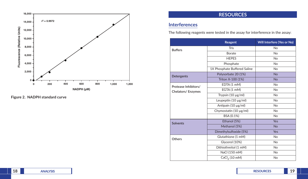

**Figure 2. NADPH standard curve**

# **RESOURCES**

# **Interferences**

The following reagents were tested in the assay for interference in the assay:

|                      | Reagent                      | <b>Will Interfere (Yes or No)</b> |
|----------------------|------------------------------|-----------------------------------|
| <b>Buffers</b>       | Tris                         | <b>No</b>                         |
|                      | Borate                       | <b>No</b>                         |
|                      | <b>HEPES</b>                 | <b>No</b>                         |
|                      | Phosphate                    | <b>No</b>                         |
|                      | 1X Phosphate Buffered Saline | No                                |
| Detergents           | Polysorbate 20 (1%)          | <b>No</b>                         |
|                      | Triton X-100 (1%)            | <b>No</b>                         |
| Protease Inhibitors/ | EDTA (1 mM)                  | <b>No</b>                         |
| Chelators/ Enzymes   | EGTA (1 mM)                  | <b>No</b>                         |
|                      | Trypsin (10 µg/ml)           | <b>No</b>                         |
|                      | Leupeptin (10 µg/ml)         | <b>No</b>                         |
|                      | Antipain (10 µg/ml)          | <b>No</b>                         |
|                      | Chymostatin (10 µg/ml)       | No                                |
|                      | BSA (0.1%)                   | <b>No</b>                         |
| <b>Solvents</b>      | Ethanol (5%)                 | <b>Yes</b>                        |
|                      | Methanol (5%)                | <b>No</b>                         |
|                      | Dimethylsulfoxide (5%)       | <b>Yes</b>                        |
| Others               | Glutathione (1 mM)           | <b>No</b>                         |
|                      | Glycerol (10%)               | <b>No</b>                         |
|                      | Dithiothreitol (1 mM)        | No                                |
|                      | NaCl (150 mM)                | No.                               |
|                      | $CaCl2$ (10 mM)              | No                                |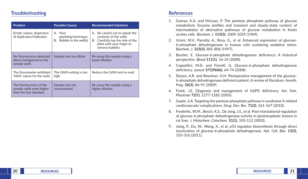### **Troubleshooting**

| <b>Problem</b>                                                                | <b>Possible Causes</b>                                                 | <b>Recommended Solutions</b>                                                                                                                   |  |
|-------------------------------------------------------------------------------|------------------------------------------------------------------------|------------------------------------------------------------------------------------------------------------------------------------------------|--|
| Erratic values; dispersion<br>of duplicates/triplicates                       | A. Poor<br>pipetting/technique<br>Bubble in the well(s)<br>В.          | A. Be careful not to splash the<br>contents of the wells<br>Carefully tap the side of the<br>В.<br>plate with your finger to<br>remove bubbles |  |
| No fluorescence detected<br>above background in the<br>sample wells           | Sample was too dilute<br>Re-assay the sample using a<br>lower dilution |                                                                                                                                                |  |
| The fluorometer exhibited<br>'MAX' values for the wells                       | The GAIN setting is too<br>high                                        | Reduce the GAIN and re-read                                                                                                                    |  |
| The fluorescence of the<br>sample wells were higher<br>than the last standard | Sample was too<br>concentrated                                         | Re-assay the sample using a<br>higher dilution                                                                                                 |  |

### **References**

- 1. Gumaa, K.A. and McLean, P. The pentose phosphate pathway of glucose metabolism: Enzyme profiles and transient and steady-state content of intermediates of alternative pathways of glucose metabolism in Krebs ascites cells. *Biochem. J.* **115(5)**, 1009-1029 (1969).
- 2. Ursini, M.V., Parrella, A., Rosa, G., *et al.* Enhanced expression of glucose-6-phosphate dehydrogenase in human cells sustaining oxidative stress. *Biochem. J.* **323(3)**, 801-806 (1997).
- 3. Beutler, E. Glucose-6-phosphate dehydrogenase deficiency: A historical perspective. *Blood* **111(1)**, 16-24 (2008).
- 4. Cappellini, M.D. and Fiorelli, G. Glucose-6-phosphate dehydrogenase deficiency. *Lancet* **371(9606)**, 64-74 (2008).
- 5. Elyassi, A.R. and Rowshan, H.H. Perioperative management of the glucose-6-phosphate dehydrogenase deficient patient: A review of literature. *Anesth. Prog.* **56(3)**, 86-91 (2009).
- 6. Frank, J.E. Diagnosis and management of G6PD deficiency. *Am. Fam. Physician* **72(7)**, 1277-1282 (2005).
- 7. Gupte, S.A. Targeting the pentose phosphate pathway in syndrome X-related cardiovascular complications. *Drug. Dev. Res.* **71(3)**, 161-167 (2010).
- 8. Frederiks, W.M., Bosch, K.S., De Jong, J.S., *et al.* Post-translational regulation of glucose-6-phosphate dehydrogenase activity in (pre)neoplastic lesions in rat liver. *J. Histochem. Cytochem.* **51(1)**, 105-112 (2003).
- 9. Jiang, P., Du, W., Wang, X., *et al.* p53 regulates biosynthesis through direct inactivation of glucose-6-phosphate dehydrogenase. *Nat. Cell. Biol.* **13(3)**, 310-316 (2011).